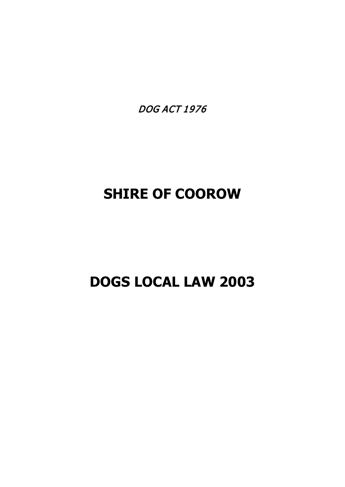DOG ACT 1976

# **SHIRE OF COOROW**

# **DOGS LOCAL LAW 2003**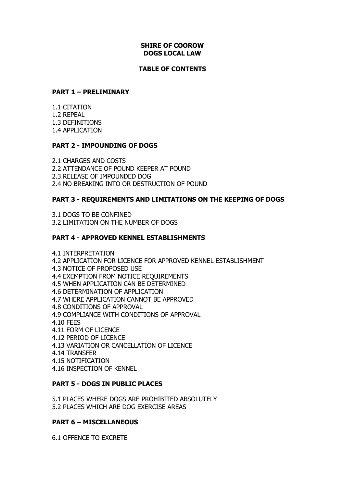### **SHIRE OF COOROW DOGS LOCAL LAW**

#### **TABLE OF CONTENTS**

### **PART 1 – PRELIMINARY**

1.1 CITATION 1.2 REPEAL 1.3 DEFINITIONS 1.4 APPLICATION

### **PART 2 - IMPOUNDING OF DOGS**

2.1 CHARGES AND COSTS 2.2 ATTENDANCE OF POUND KEEPER AT POUND 2.3 RELEASE OF IMPOUNDED DOG 2.4 NO BREAKING INTO OR DESTRUCTION OF POUND

# **PART 3 - REQUIREMENTS AND LIMITATIONS ON THE KEEPING OF DOGS**

3.1 DOGS TO BE CONFINED 3.2 LIMITATION ON THE NUMBER OF DOGS

### **PART 4 - APPROVED KENNEL ESTABLISHMENTS**

- 4.1 INTERPRETATION
- 4.2 APPLICATION FOR LICENCE FOR APPROVED KENNEL ESTABLISHMENT
- 4.3 NOTICE OF PROPOSED USE
- 4.4 EXEMPTION FROM NOTICE REQUIREMENTS
- 4.5 WHEN APPLICATION CAN BE DETERMINED
- 4.6 DETERMINATION OF APPLICATION
- 4.7 WHERE APPLICATION CANNOT BE APPROVED
- 4.8 CONDITIONS OF APPROVAL
- 4.9 COMPLIANCE WITH CONDITIONS OF APPROVAL
- 4.10 FEES
- 4.11 FORM OF LICENCE
- 4.12 PERIOD OF LICENCE
- 4.13 VARIATION OR CANCELLATION OF LICENCE
- 4.14 TRANSFER
- 4.15 NOTIFICATION
- 4.16 INSPECTION OF KENNEL

#### **PART 5 - DOGS IN PUBLIC PLACES**

5.1 PLACES WHERE DOGS ARE PROHIBITED ABSOLUTELY 5.2 PLACES WHICH ARE DOG EXERCISE AREAS

#### **PART 6 – MISCELLANEOUS**

6.1 OFFENCE TO EXCRETE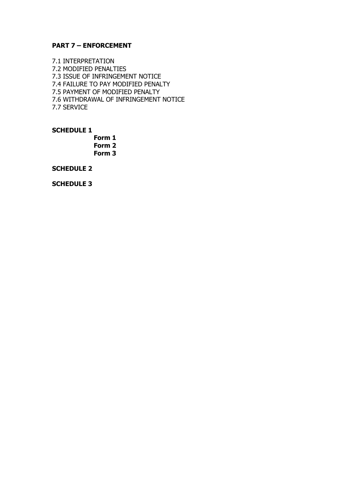#### **PART 7 – ENFORCEMENT**

7.1 INTERPRETATION 7.2 MODIFIED PENALTIES 7.3 ISSUE OF INFRINGEMENT NOTICE 7.4 FAILURE TO PAY MODIFIED PENALTY 7.5 PAYMENT OF MODIFIED PENALTY 7.6 WITHDRAWAL OF INFRINGEMENT NOTICE 7.7 SERVICE

**SCHEDULE 1**

**Form 1 Form 2 Form 3**

**SCHEDULE 2**

**SCHEDULE 3**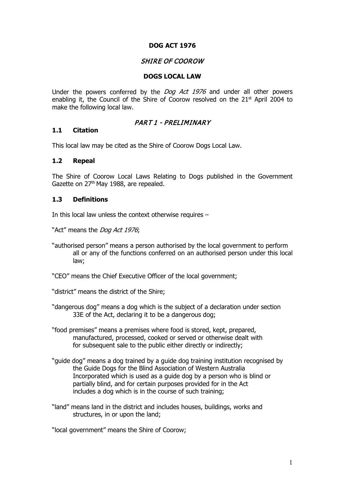### **DOG ACT 1976**

# SHIRE OF COOROW

#### **DOGS LOCAL LAW**

Under the powers conferred by the *Dog Act 1976* and under all other powers enabling it, the Council of the Shire of Coorow resolved on the 21<sup>st</sup> April 2004 to make the following local law.

### PART 1 - PRELIMINARY

#### **1.1 Citation**

This local law may be cited as the Shire of Coorow Dogs Local Law.

#### **1.2 Repeal**

The Shire of Coorow Local Laws Relating to Dogs published in the Government Gazette on 27<sup>th</sup> May 1988, are repealed.

#### **1.3 Definitions**

In this local law unless the context otherwise requires –

"Act" means the Dog Act 1976;

"authorised person" means a person authorised by the local government to perform all or any of the functions conferred on an authorised person under this local law;

"CEO" means the Chief Executive Officer of the local government;

"district" means the district of the Shire;

- "dangerous dog" means a dog which is the subject of a declaration under section 33E of the Act, declaring it to be a dangerous dog;
- "food premises" means a premises where food is stored, kept, prepared, manufactured, processed, cooked or served or otherwise dealt with for subsequent sale to the public either directly or indirectly;
- "guide dog" means a dog trained by a guide dog training institution recognised by the Guide Dogs for the Blind Association of Western Australia Incorporated which is used as a guide dog by a person who is blind or partially blind, and for certain purposes provided for in the Act includes a dog which is in the course of such training;
- "land" means land in the district and includes houses, buildings, works and structures, in or upon the land;

"local government" means the Shire of Coorow;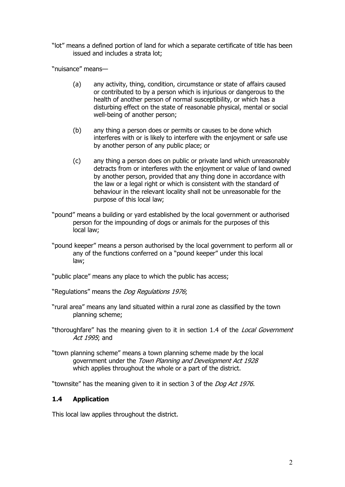"lot" means a defined portion of land for which a separate certificate of title has been issued and includes a strata lot;

"nuisance" means—

- (a) any activity, thing, condition, circumstance or state of affairs caused or contributed to by a person which is injurious or dangerous to the health of another person of normal susceptibility, or which has a disturbing effect on the state of reasonable physical, mental or social well-being of another person;
- (b) any thing a person does or permits or causes to be done which interferes with or is likely to interfere with the enjoyment or safe use by another person of any public place; or
- (c) any thing a person does on public or private land which unreasonably detracts from or interferes with the enjoyment or value of land owned by another person, provided that any thing done in accordance with the law or a legal right or which is consistent with the standard of behaviour in the relevant locality shall not be unreasonable for the purpose of this local law;
- "pound" means a building or yard established by the local government or authorised person for the impounding of dogs or animals for the purposes of this local law;
- "pound keeper" means a person authorised by the local government to perform all or any of the functions conferred on a "pound keeper" under this local law;

"public place" means any place to which the public has access;

"Regulations" means the Dog Regulations 1976;

- "rural area" means any land situated within a rural zone as classified by the town planning scheme;
- "thoroughfare" has the meaning given to it in section 1.4 of the Local Government Act 1995; and
- "town planning scheme" means a town planning scheme made by the local government under the Town Planning and Development Act 1928 which applies throughout the whole or a part of the district.

"townsite" has the meaning given to it in section 3 of the *Dog Act 1976.* 

#### **1.4 Application**

This local law applies throughout the district.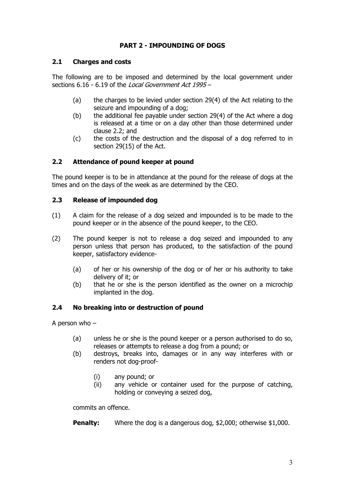# **PART 2 - IMPOUNDING OF DOGS**

# **2.1 Charges and costs**

The following are to be imposed and determined by the local government under sections 6.16 - 6.19 of the *Local Government Act 1995* -

- (a) the charges to be levied under section 29(4) of the Act relating to the seizure and impounding of a dog;
- (b) the additional fee payable under section 29(4) of the Act where a dog is released at a time or on a day other than those determined under clause 2.2; and
- (c) the costs of the destruction and the disposal of a dog referred to in section 29(15) of the Act.

# **2.2 Attendance of pound keeper at pound**

The pound keeper is to be in attendance at the pound for the release of dogs at the times and on the days of the week as are determined by the CEO.

### **2.3 Release of impounded dog**

- (1) A claim for the release of a dog seized and impounded is to be made to the pound keeper or in the absence of the pound keeper, to the CEO.
- (2) The pound keeper is not to release a dog seized and impounded to any person unless that person has produced, to the satisfaction of the pound keeper, satisfactory evidence-
	- (a) of her or his ownership of the dog or of her or his authority to take delivery of it; or
	- (b) that he or she is the person identified as the owner on a microchip implanted in the dog.

# **2.4 No breaking into or destruction of pound**

A person who –

- (a) unless he or she is the pound keeper or a person authorised to do so, releases or attempts to release a dog from a pound; or
- (b) destroys, breaks into, damages or in any way interferes with or renders not dog-proof-
	- (i) any pound; or
	- (ii) any vehicle or container used for the purpose of catching, holding or conveying a seized dog,

commits an offence.

**Penalty:** Where the dog is a dangerous dog, \$2,000; otherwise \$1,000.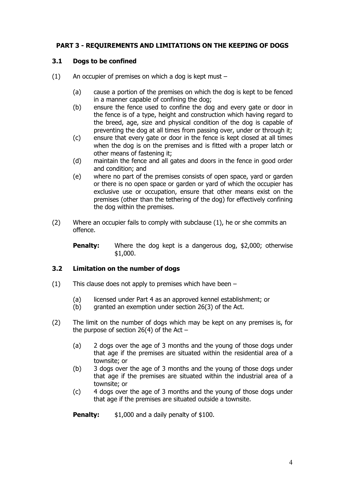# **PART 3 - REQUIREMENTS AND LIMITATIONS ON THE KEEPING OF DOGS**

## **3.1 Dogs to be confined**

- (1) An occupier of premises on which a dog is kept must
	- (a) cause a portion of the premises on which the dog is kept to be fenced in a manner capable of confining the dog;
	- (b) ensure the fence used to confine the dog and every gate or door in the fence is of a type, height and construction which having regard to the breed, age, size and physical condition of the dog is capable of preventing the dog at all times from passing over, under or through it;
	- (c) ensure that every gate or door in the fence is kept closed at all times when the dog is on the premises and is fitted with a proper latch or other means of fastening it;
	- (d) maintain the fence and all gates and doors in the fence in good order and condition; and
	- (e) where no part of the premises consists of open space, yard or garden or there is no open space or garden or yard of which the occupier has exclusive use or occupation, ensure that other means exist on the premises (other than the tethering of the dog) for effectively confining the dog within the premises.
- (2) Where an occupier fails to comply with subclause (1), he or she commits an offence.

**Penalty:** Where the dog kept is a dangerous dog, \$2,000; otherwise \$1,000.

#### **3.2 Limitation on the number of dogs**

- (1) This clause does not apply to premises which have been
	- (a) licensed under Part 4 as an approved kennel establishment; or
	- (b) granted an exemption under section 26(3) of the Act.
- (2) The limit on the number of dogs which may be kept on any premises is, for the purpose of section 26(4) of the Act  $-$ 
	- (a) 2 dogs over the age of 3 months and the young of those dogs under that age if the premises are situated within the residential area of a townsite; or
	- (b) 3 dogs over the age of 3 months and the young of those dogs under that age if the premises are situated within the industrial area of a townsite; or
	- (c) 4 dogs over the age of 3 months and the young of those dogs under that age if the premises are situated outside a townsite.

**Penalty:** \$1,000 and a daily penalty of \$100.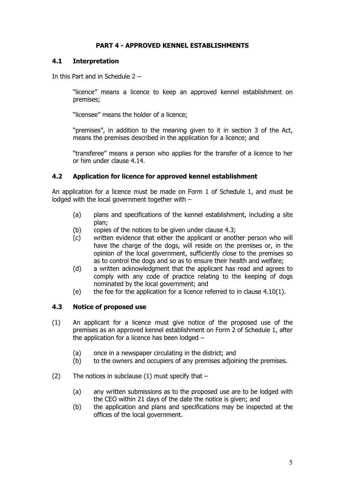# **PART 4 - APPROVED KENNEL ESTABLISHMENTS**

# **4.1 Interpretation**

In this Part and in Schedule 2 –

"licence" means a licence to keep an approved kennel establishment on premises;

"licensee" means the holder of a licence;

"premises", in addition to the meaning given to it in section 3 of the Act, means the premises described in the application for a licence; and

"transferee" means a person who applies for the transfer of a licence to her or him under clause 4.14.

# **4.2 Application for licence for approved kennel establishment**

An application for a licence must be made on Form 1 of Schedule 1, and must be lodged with the local government together with –

- (a) plans and specifications of the kennel establishment, including a site plan;
- (b) copies of the notices to be given under clause 4.3;
- (c) written evidence that either the applicant or another person who will have the charge of the dogs, will reside on the premises or, in the opinion of the local government, sufficiently close to the premises so as to control the dogs and so as to ensure their health and welfare;
- (d) a written acknowledgment that the applicant has read and agrees to comply with any code of practice relating to the keeping of dogs nominated by the local government; and
- (e) the fee for the application for a licence referred to in clause  $4.10(1)$ .

# **4.3 Notice of proposed use**

- (1) An applicant for a licence must give notice of the proposed use of the premises as an approved kennel establishment on Form 2 of Schedule 1, after the application for a licence has been lodged –
	- (a) once in a newspaper circulating in the district; and
	- (b) to the owners and occupiers of any premises adjoining the premises.
- (2) The notices in subclause (1) must specify that  $-$ 
	- (a) any written submissions as to the proposed use are to be lodged with the CEO within 21 days of the date the notice is given; and
	- (b) the application and plans and specifications may be inspected at the offices of the local government.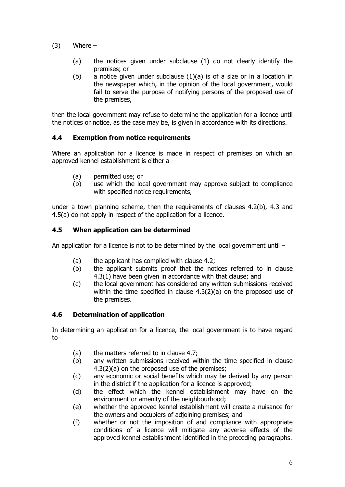- $(3)$  Where
	- (a) the notices given under subclause (1) do not clearly identify the premises; or
	- (b) a notice given under subclause  $(1)(a)$  is of a size or in a location in the newspaper which, in the opinion of the local government, would fail to serve the purpose of notifying persons of the proposed use of the premises,

then the local government may refuse to determine the application for a licence until the notices or notice, as the case may be, is given in accordance with its directions.

# **4.4 Exemption from notice requirements**

Where an application for a licence is made in respect of premises on which an approved kennel establishment is either a -

- (a) permitted use; or
- (b) use which the local government may approve subject to compliance with specified notice requirements,

under a town planning scheme, then the requirements of clauses 4.2(b), 4.3 and 4.5(a) do not apply in respect of the application for a licence.

### **4.5 When application can be determined**

An application for a licence is not to be determined by the local government until  $-$ 

- (a) the applicant has complied with clause 4.2;
- (b) the applicant submits proof that the notices referred to in clause 4.3(1) have been given in accordance with that clause; and
- (c) the local government has considered any written submissions received within the time specified in clause 4.3(2)(a) on the proposed use of the premises.

#### **4.6 Determination of application**

In determining an application for a licence, the local government is to have regard to–

- (a) the matters referred to in clause 4.7;
- (b) any written submissions received within the time specified in clause 4.3(2)(a) on the proposed use of the premises;
- (c) any economic or social benefits which may be derived by any person in the district if the application for a licence is approved;
- (d) the effect which the kennel establishment may have on the environment or amenity of the neighbourhood;
- (e) whether the approved kennel establishment will create a nuisance for the owners and occupiers of adjoining premises; and
- (f) whether or not the imposition of and compliance with appropriate conditions of a licence will mitigate any adverse effects of the approved kennel establishment identified in the preceding paragraphs.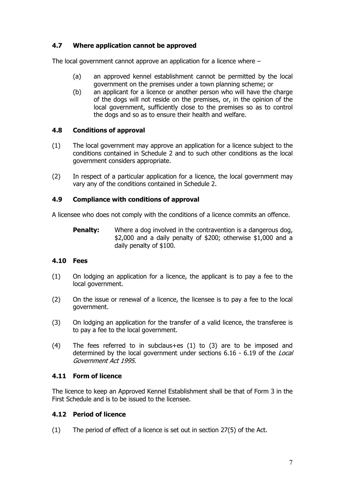# **4.7 Where application cannot be approved**

The local government cannot approve an application for a licence where –

- (a) an approved kennel establishment cannot be permitted by the local government on the premises under a town planning scheme; or
- (b) an applicant for a licence or another person who will have the charge of the dogs will not reside on the premises, or, in the opinion of the local government, sufficiently close to the premises so as to control the dogs and so as to ensure their health and welfare.

# **4.8 Conditions of approval**

- (1) The local government may approve an application for a licence subject to the conditions contained in Schedule 2 and to such other conditions as the local government considers appropriate.
- (2) In respect of a particular application for a licence, the local government may vary any of the conditions contained in Schedule 2.

### **4.9 Compliance with conditions of approval**

A licensee who does not comply with the conditions of a licence commits an offence.

**Penalty:** Where a dog involved in the contravention is a dangerous dog, \$2,000 and a daily penalty of \$200; otherwise \$1,000 and a daily penalty of \$100.

#### **4.10 Fees**

- (1) On lodging an application for a licence, the applicant is to pay a fee to the local government.
- (2) On the issue or renewal of a licence, the licensee is to pay a fee to the local government.
- (3) On lodging an application for the transfer of a valid licence, the transferee is to pay a fee to the local government.
- (4) The fees referred to in subclaus+es (1) to (3) are to be imposed and determined by the local government under sections 6.16 - 6.19 of the Local Government Act 1995.

#### **4.11 Form of licence**

The licence to keep an Approved Kennel Establishment shall be that of Form 3 in the First Schedule and is to be issued to the licensee.

# **4.12 Period of licence**

(1) The period of effect of a licence is set out in section 27(5) of the Act.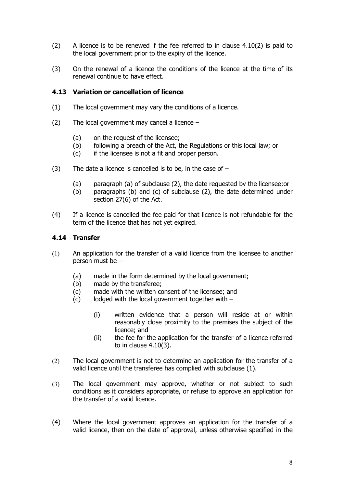- (2) A licence is to be renewed if the fee referred to in clause 4.10(2) is paid to the local government prior to the expiry of the licence.
- (3) On the renewal of a licence the conditions of the licence at the time of its renewal continue to have effect.

# **4.13 Variation or cancellation of licence**

- (1) The local government may vary the conditions of a licence.
- (2) The local government may cancel a licence
	- (a) on the request of the licensee;
	- (b) following a breach of the Act, the Regulations or this local law; or
	- (c) if the licensee is not a fit and proper person.
- (3) The date a licence is cancelled is to be, in the case of  $-$ 
	- (a) paragraph (a) of subclause (2), the date requested by the licensee;or
	- (b) paragraphs (b) and (c) of subclause (2), the date determined under section 27(6) of the Act.
- (4) If a licence is cancelled the fee paid for that licence is not refundable for the term of the licence that has not yet expired.

# **4.14 Transfer**

- (1) An application for the transfer of a valid licence from the licensee to another person must be –
	- (a) made in the form determined by the local government;
	- (b) made by the transferee;
	- (c) made with the written consent of the licensee; and
	- (c) lodged with the local government together with
		- (i) written evidence that a person will reside at or within reasonably close proximity to the premises the subject of the licence; and
		- (ii) the fee for the application for the transfer of a licence referred to in clause 4.10(3).
- (2) The local government is not to determine an application for the transfer of a valid licence until the transferee has complied with subclause (1).
- (3) The local government may approve, whether or not subject to such conditions as it considers appropriate, or refuse to approve an application for the transfer of a valid licence.
- (4) Where the local government approves an application for the transfer of a valid licence, then on the date of approval, unless otherwise specified in the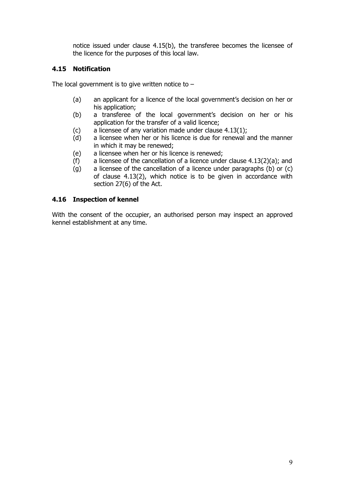notice issued under clause 4.15(b), the transferee becomes the licensee of the licence for the purposes of this local law.

# **4.15 Notification**

The local government is to give written notice to  $-$ 

- (a) an applicant for a licence of the local government's decision on her or his application;
- (b) a transferee of the local government's decision on her or his application for the transfer of a valid licence;
- (c) a licensee of any variation made under clause  $4.13(1)$ ;
- (d) a licensee when her or his licence is due for renewal and the manner in which it may be renewed;
- (e) a licensee when her or his licence is renewed;
- (f) a licensee of the cancellation of a licence under clause  $4.13(2)(a)$ ; and
- (g) a licensee of the cancellation of a licence under paragraphs (b) or (c) of clause 4.13(2), which notice is to be given in accordance with section 27(6) of the Act.

# **4.16 Inspection of kennel**

With the consent of the occupier, an authorised person may inspect an approved kennel establishment at any time.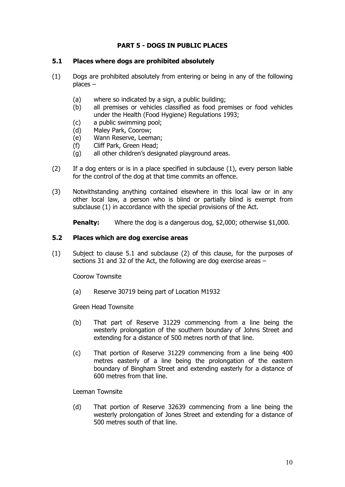# **PART 5 - DOGS IN PUBLIC PLACES**

#### **5.1 Places where dogs are prohibited absolutely**

- (1) Dogs are prohibited absolutely from entering or being in any of the following places –
	- (a) where so indicated by a sign, a public building;
	- (b) all premises or vehicles classified as food premises or food vehicles under the Health (Food Hygiene) Regulations 1993;
	- (c) a public swimming pool;
	- (d) Maley Park, Coorow;
	- (e) Wann Reserve, Leeman;
	- (f) Cliff Park, Green Head;
	- (g) all other children's designated playground areas.
- (2) If a dog enters or is in a place specified in subclause (1), every person liable for the control of the dog at that time commits an offence.
- (3) Notwithstanding anything contained elsewhere in this local law or in any other local law, a person who is blind or partially blind is exempt from subclause (1) in accordance with the special provisions of the Act.

**Penalty:** Where the dog is a dangerous dog, \$2,000; otherwise \$1,000.

### **5.2 Places which are dog exercise areas**

(1) Subject to clause 5.1 and subclause (2) of this clause, for the purposes of sections 31 and 32 of the Act, the following are dog exercise areas –

Coorow Townsite

(a) Reserve 30719 being part of Location M1932

Green Head Townsite

- (b) That part of Reserve 31229 commencing from a line being the westerly prolongation of the southern boundary of Johns Street and extending for a distance of 500 metres north of that line.
- (c) That portion of Reserve 31229 commencing from a line being 400 metres easterly of a line being the prolongation of the eastern boundary of Bingham Street and extending easterly for a distance of 600 metres from that line.

Leeman Townsite

(d) That portion of Reserve 32639 commencing from a line being the westerly prolongation of Jones Street and extending for a distance of 500 metres south of that line.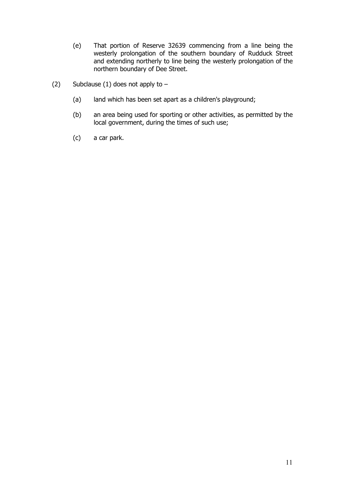- (e) That portion of Reserve 32639 commencing from a line being the westerly prolongation of the southern boundary of Rudduck Street and extending northerly to line being the westerly prolongation of the northern boundary of Dee Street.
- (2) Subclause (1) does not apply to  $-$ 
	- (a) land which has been set apart as a children's playground;
	- (b) an area being used for sporting or other activities, as permitted by the local government, during the times of such use;
	- (c) a car park.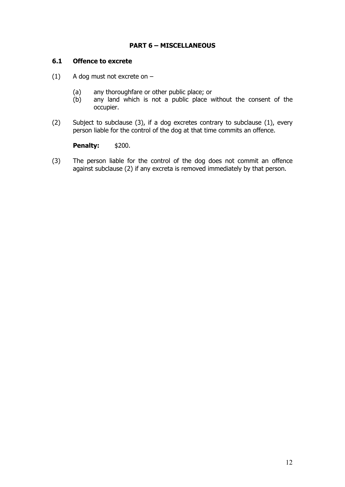# **PART 6 – MISCELLANEOUS**

### **6.1 Offence to excrete**

- (1) A dog must not excrete on
	- (a) any thoroughfare or other public place; or (b) any land which is not a public place v
	- any land which is not a public place without the consent of the occupier.
- (2) Subject to subclause (3), if a dog excretes contrary to subclause (1), every person liable for the control of the dog at that time commits an offence.

**Penalty:** \$200.

(3) The person liable for the control of the dog does not commit an offence against subclause (2) if any excreta is removed immediately by that person.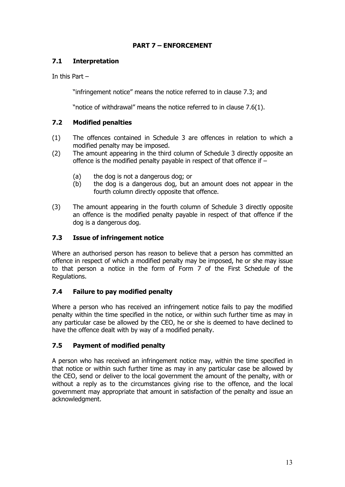# **PART 7 – ENFORCEMENT**

# **7.1 Interpretation**

In this Part –

"infringement notice" means the notice referred to in clause 7.3; and

"notice of withdrawal" means the notice referred to in clause 7.6(1).

# **7.2 Modified penalties**

- (1) The offences contained in Schedule 3 are offences in relation to which a modified penalty may be imposed.
- (2) The amount appearing in the third column of Schedule 3 directly opposite an offence is the modified penalty payable in respect of that offence if –
	- (a) the dog is not a dangerous dog; or
	- (b) the dog is a dangerous dog, but an amount does not appear in the fourth column directly opposite that offence.
- (3) The amount appearing in the fourth column of Schedule 3 directly opposite an offence is the modified penalty payable in respect of that offence if the dog is a dangerous dog.

# **7.3 Issue of infringement notice**

Where an authorised person has reason to believe that a person has committed an offence in respect of which a modified penalty may be imposed, he or she may issue to that person a notice in the form of Form 7 of the First Schedule of the Regulations.

# **7.4 Failure to pay modified penalty**

Where a person who has received an infringement notice fails to pay the modified penalty within the time specified in the notice, or within such further time as may in any particular case be allowed by the CEO, he or she is deemed to have declined to have the offence dealt with by way of a modified penalty.

# **7.5 Payment of modified penalty**

A person who has received an infringement notice may, within the time specified in that notice or within such further time as may in any particular case be allowed by the CEO, send or deliver to the local government the amount of the penalty, with or without a reply as to the circumstances giving rise to the offence, and the local government may appropriate that amount in satisfaction of the penalty and issue an acknowledgment.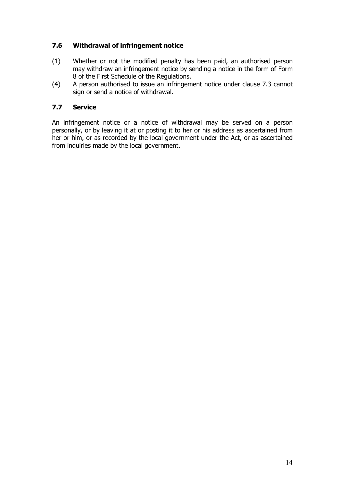# **7.6 Withdrawal of infringement notice**

- (1) Whether or not the modified penalty has been paid, an authorised person may withdraw an infringement notice by sending a notice in the form of Form 8 of the First Schedule of the Regulations.
- (4) A person authorised to issue an infringement notice under clause 7.3 cannot sign or send a notice of withdrawal.

# **7.7 Service**

An infringement notice or a notice of withdrawal may be served on a person personally, or by leaving it at or posting it to her or his address as ascertained from her or him, or as recorded by the local government under the Act, or as ascertained from inquiries made by the local government.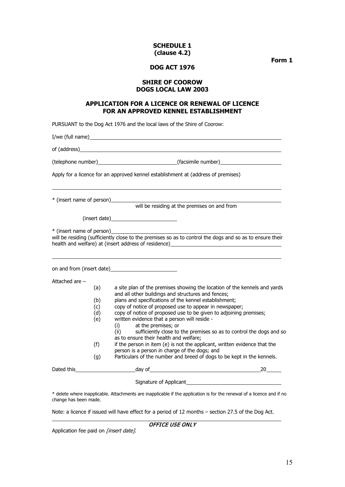#### **SCHEDULE 1 (clause 4.2)**

**Form 1**

#### **DOG ACT 1976**

#### **SHIRE OF COOROW DOGS LOCAL LAW 2003**

#### **APPLICATION FOR A LICENCE OR RENEWAL OF LICENCE FOR AN APPROVED KENNEL ESTABLISHMENT**

PURSUANT to the Dog Act 1976 and the local laws of the Shire of Coorow:

I/we (full name)

of (address)

(telephone number) (facsimile number)

Apply for a licence for an approved kennel establishment at (address of premises)

\* (insert name of person)

will be residing at the premises on and from

(insert date)

\* (insert name of person)

will be residing (sufficiently close to the premises so as to control the dogs and so as to ensure their health and welfare) at (insert address of residence)

on and from (insert date) Attached are – (a) a site plan of the premises showing the location of the kennels and yards and all other buildings and structures and fences; (b) plans and specifications of the kennel establishment;<br>(c) copy of notice of proposed use to appear in newspape (c) copy of notice of proposed use to appear in newspaper;<br>(d) copy of notice of proposed use to be given to adjoining p  $(d)$  copy of notice of proposed use to be given to adjoining premises;<br>(e) written evidence that a person will reside written evidence that a person will reside -<br>(i)  $\qquad$  at the premises; or (i) at the premises; or<br>(ii) sufficiently close to sufficiently close to the premises so as to control the dogs and so as to ensure their health and welfare;  $(f)$  if the person in item  $(e)$  is not the applicant, written evidence that the person is a person in charge of the dogs; and (g) Particulars of the number and breed of dogs to be kept in the kennels. Dated this day of 20 Signature of Applicant

\* delete where inapplicable. Attachments are inapplicable if the application is for the renewal of a licence and if no change has been made.

Note: a licence if issued will have effect for a period of 12 months – section 27.5 of the Dog Act.

OFFICE USE ONLY

Application fee paid on [insert date].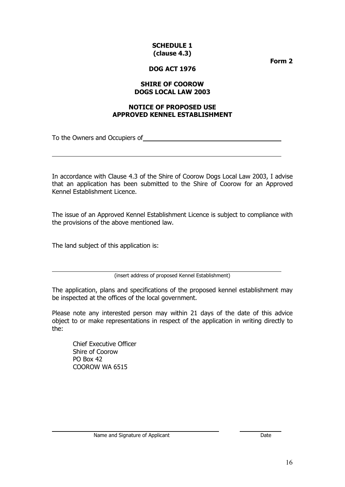#### **SCHEDULE 1 (clause 4.3)**

**Form 2**

## **DOG ACT 1976**

#### **SHIRE OF COOROW DOGS LOCAL LAW 2003**

#### **NOTICE OF PROPOSED USE APPROVED KENNEL ESTABLISHMENT**

To the Owners and Occupiers of

In accordance with Clause 4.3 of the Shire of Coorow Dogs Local Law 2003, I advise that an application has been submitted to the Shire of Coorow for an Approved Kennel Establishment Licence.

The issue of an Approved Kennel Establishment Licence is subject to compliance with the provisions of the above mentioned law.

The land subject of this application is:

(insert address of proposed Kennel Establishment)

The application, plans and specifications of the proposed kennel establishment may be inspected at the offices of the local government.

Please note any interested person may within 21 days of the date of this advice object to or make representations in respect of the application in writing directly to the:

Chief Executive Officer Shire of Coorow PO Box 42 COOROW WA 6515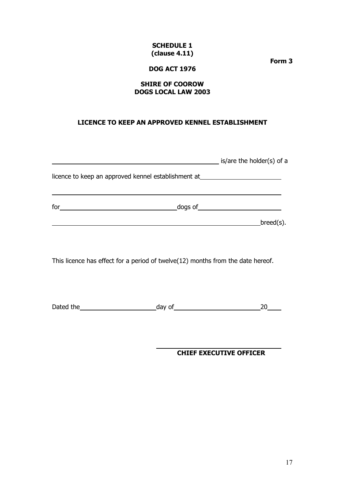### **SCHEDULE 1 (clause 4.11)**

**Form 3**

## **DOG ACT 1976**

### **SHIRE OF COOROW DOGS LOCAL LAW 2003**

# **LICENCE TO KEEP AN APPROVED KENNEL ESTABLISHMENT**

|     |                                                                                                                 | is/are the holder(s) of a |
|-----|-----------------------------------------------------------------------------------------------------------------|---------------------------|
|     | licence to keep an approved kennel establishment at 1.1 The manuscript of the state of the state of the state o |                           |
| for |                                                                                                                 |                           |
|     |                                                                                                                 | breed(s).                 |
|     |                                                                                                                 |                           |

This licence has effect for a period of twelve(12) months from the date hereof.

Dated the  $\qquad \qquad \text{day of} \qquad \qquad \text{20} \qquad \qquad \text{21}$ 

**CHIEF EXECUTIVE OFFICER**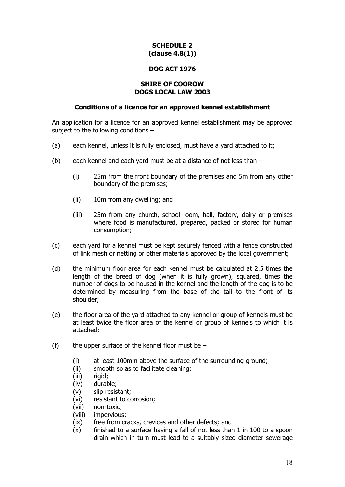# **SCHEDULE 2 (clause 4.8(1))**

### **DOG ACT 1976**

#### **SHIRE OF COOROW DOGS LOCAL LAW 2003**

#### **Conditions of a licence for an approved kennel establishment**

An application for a licence for an approved kennel establishment may be approved subject to the following conditions –

- (a) each kennel, unless it is fully enclosed, must have a yard attached to it;
- (b) each kennel and each yard must be at a distance of not less than
	- (i) 25m from the front boundary of the premises and 5m from any other boundary of the premises;
	- (ii) 10m from any dwelling; and
	- (iii) 25m from any church, school room, hall, factory, dairy or premises where food is manufactured, prepared, packed or stored for human consumption;
- (c) each yard for a kennel must be kept securely fenced with a fence constructed of link mesh or netting or other materials approved by the local government;
- (d) the minimum floor area for each kennel must be calculated at 2.5 times the length of the breed of dog (when it is fully grown), squared, times the number of dogs to be housed in the kennel and the length of the dog is to be determined by measuring from the base of the tail to the front of its shoulder;
- (e) the floor area of the yard attached to any kennel or group of kennels must be at least twice the floor area of the kennel or group of kennels to which it is attached;
- (f) the upper surface of the kennel floor must be  $-$ 
	- (i) at least 100mm above the surface of the surrounding ground;
	- (ii) smooth so as to facilitate cleaning;
	- (iii) rigid;<br>(iv) durab
	- durable:
	- (v) slip resistant;
	- (vi) resistant to corrosion;
	- (vii) non-toxic;
	- (viii) impervious;
	- (ix) free from cracks, crevices and other defects; and
	- (x) finished to a surface having a fall of not less than 1 in 100 to a spoon drain which in turn must lead to a suitably sized diameter sewerage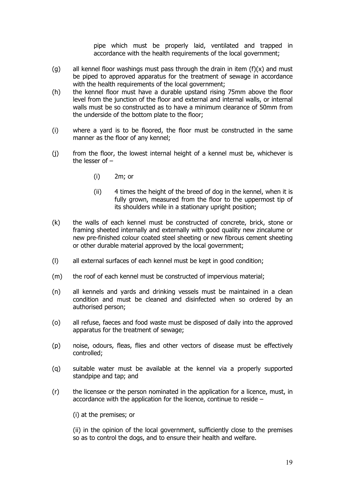pipe which must be properly laid, ventilated and trapped in accordance with the health requirements of the local government;

- (g) all kennel floor washings must pass through the drain in item  $(f)(x)$  and must be piped to approved apparatus for the treatment of sewage in accordance with the health requirements of the local government;
- (h) the kennel floor must have a durable upstand rising 75mm above the floor level from the junction of the floor and external and internal walls, or internal walls must be so constructed as to have a minimum clearance of 50mm from the underside of the bottom plate to the floor;
- (i) where a yard is to be floored, the floor must be constructed in the same manner as the floor of any kennel;
- (j) from the floor, the lowest internal height of a kennel must be, whichever is the lesser of –
	- (i) 2m; or
	- (ii) 4 times the height of the breed of dog in the kennel, when it is fully grown, measured from the floor to the uppermost tip of its shoulders while in a stationary upright position;
- (k) the walls of each kennel must be constructed of concrete, brick, stone or framing sheeted internally and externally with good quality new zincalume or new pre-finished colour coated steel sheeting or new fibrous cement sheeting or other durable material approved by the local government;
- (l) all external surfaces of each kennel must be kept in good condition;
- (m) the roof of each kennel must be constructed of impervious material;
- (n) all kennels and yards and drinking vessels must be maintained in a clean condition and must be cleaned and disinfected when so ordered by an authorised person;
- (o) all refuse, faeces and food waste must be disposed of daily into the approved apparatus for the treatment of sewage;
- (p) noise, odours, fleas, flies and other vectors of disease must be effectively controlled;
- (q) suitable water must be available at the kennel via a properly supported standpipe and tap; and
- (r) the licensee or the person nominated in the application for a licence, must, in accordance with the application for the licence, continue to reside –
	- (i) at the premises; or

(ii) in the opinion of the local government, sufficiently close to the premises so as to control the dogs, and to ensure their health and welfare.